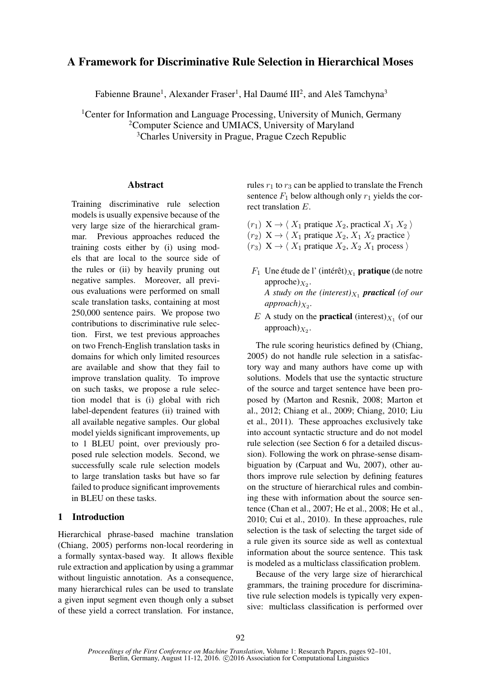# A Framework for Discriminative Rule Selection in Hierarchical Moses

Fabienne Braune<sup>1</sup>, Alexander Fraser<sup>1</sup>, Hal Daumé III<sup>2</sup>, and Aleš Tamchyna<sup>3</sup>

<sup>1</sup> Center for Information and Language Processing, University of Munich, Germany <sup>2</sup>Computer Science and UMIACS, University of Maryland <sup>3</sup>Charles University in Prague, Prague Czech Republic

## Abstract

Training discriminative rule selection models is usually expensive because of the very large size of the hierarchical grammar. Previous approaches reduced the training costs either by (i) using models that are local to the source side of the rules or (ii) by heavily pruning out negative samples. Moreover, all previous evaluations were performed on small scale translation tasks, containing at most 250,000 sentence pairs. We propose two contributions to discriminative rule selection. First, we test previous approaches on two French-English translation tasks in domains for which only limited resources are available and show that they fail to improve translation quality. To improve on such tasks, we propose a rule selection model that is (i) global with rich label-dependent features (ii) trained with all available negative samples. Our global model yields significant improvements, up to 1 BLEU point, over previously proposed rule selection models. Second, we successfully scale rule selection models to large translation tasks but have so far failed to produce significant improvements in BLEU on these tasks.

## 1 Introduction

Hierarchical phrase-based machine translation (Chiang, 2005) performs non-local reordering in a formally syntax-based way. It allows flexible rule extraction and application by using a grammar without linguistic annotation. As a consequence, many hierarchical rules can be used to translate a given input segment even though only a subset of these yield a correct translation. For instance, rules  $r_1$  to  $r_3$  can be applied to translate the French sentence  $F_1$  below although only  $r_1$  yields the correct translation E.

- $(r_1)$   $X \rightarrow \langle X_1$  pratique  $X_2$ , practical  $X_1 X_2$
- $(r_2)$   $X \rightarrow \langle X_1 \text{ } p \text{} \rangle X_2, X_1 X_2 \text{ } p \text{} \rangle$
- $(r_3)$   $X \rightarrow \langle X_1 \text{ pratique } X_2, X_2 \text{ } X_1 \text{ process } \rangle$
- $F_1$  Une étude de l' (intérêt) $X_1$  pratique (de notre  $approche)_{X_2}$ . *A* study on the (interest) $X_1$  **practical** (of our  $appreach$ <sub> $X_2$ </sub>.
- E A study on the **practical** (interest) $_{X_1}$  (of our approach) $X_2$ .

The rule scoring heuristics defined by (Chiang, 2005) do not handle rule selection in a satisfactory way and many authors have come up with solutions. Models that use the syntactic structure of the source and target sentence have been proposed by (Marton and Resnik, 2008; Marton et al., 2012; Chiang et al., 2009; Chiang, 2010; Liu et al., 2011). These approaches exclusively take into account syntactic structure and do not model rule selection (see Section 6 for a detailed discussion). Following the work on phrase-sense disambiguation by (Carpuat and Wu, 2007), other authors improve rule selection by defining features on the structure of hierarchical rules and combining these with information about the source sentence (Chan et al., 2007; He et al., 2008; He et al., 2010; Cui et al., 2010). In these approaches, rule selection is the task of selecting the target side of a rule given its source side as well as contextual information about the source sentence. This task is modeled as a multiclass classification problem.

Because of the very large size of hierarchical grammars, the training procedure for discriminative rule selection models is typically very expensive: multiclass classification is performed over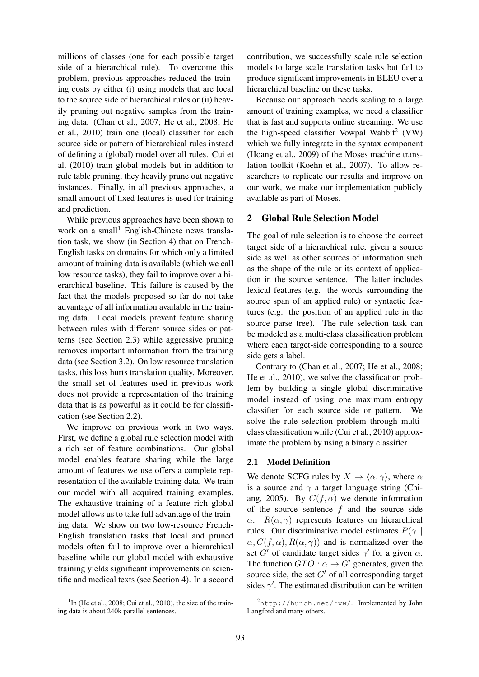millions of classes (one for each possible target side of a hierarchical rule). To overcome this problem, previous approaches reduced the training costs by either (i) using models that are local to the source side of hierarchical rules or (ii) heavily pruning out negative samples from the training data. (Chan et al., 2007; He et al., 2008; He et al., 2010) train one (local) classifier for each source side or pattern of hierarchical rules instead of defining a (global) model over all rules. Cui et al. (2010) train global models but in addition to rule table pruning, they heavily prune out negative instances. Finally, in all previous approaches, a small amount of fixed features is used for training and prediction.

While previous approaches have been shown to work on a small<sup>1</sup> English-Chinese news translation task, we show (in Section 4) that on French-English tasks on domains for which only a limited amount of training data is available (which we call low resource tasks), they fail to improve over a hierarchical baseline. This failure is caused by the fact that the models proposed so far do not take advantage of all information available in the training data. Local models prevent feature sharing between rules with different source sides or patterns (see Section 2.3) while aggressive pruning removes important information from the training data (see Section 3.2). On low resource translation tasks, this loss hurts translation quality. Moreover, the small set of features used in previous work does not provide a representation of the training data that is as powerful as it could be for classification (see Section 2.2).

We improve on previous work in two ways. First, we define a global rule selection model with a rich set of feature combinations. Our global model enables feature sharing while the large amount of features we use offers a complete representation of the available training data. We train our model with all acquired training examples. The exhaustive training of a feature rich global model allows us to take full advantage of the training data. We show on two low-resource French-English translation tasks that local and pruned models often fail to improve over a hierarchical baseline while our global model with exhaustive training yields significant improvements on scientific and medical texts (see Section 4). In a second

<sup>1</sup>In (He et al., 2008; Cui et al., 2010), the size of the training data is about 240k parallel sentences.

contribution, we successfully scale rule selection models to large scale translation tasks but fail to produce significant improvements in BLEU over a hierarchical baseline on these tasks.

Because our approach needs scaling to a large amount of training examples, we need a classifier that is fast and supports online streaming. We use the high-speed classifier Vowpal Wabbit<sup>2</sup> (VW) which we fully integrate in the syntax component (Hoang et al., 2009) of the Moses machine translation toolkit (Koehn et al., 2007). To allow researchers to replicate our results and improve on our work, we make our implementation publicly available as part of Moses.

# 2 Global Rule Selection Model

The goal of rule selection is to choose the correct target side of a hierarchical rule, given a source side as well as other sources of information such as the shape of the rule or its context of application in the source sentence. The latter includes lexical features (e.g. the words surrounding the source span of an applied rule) or syntactic features (e.g. the position of an applied rule in the source parse tree). The rule selection task can be modeled as a multi-class classification problem where each target-side corresponding to a source side gets a label.

Contrary to (Chan et al., 2007; He et al., 2008; He et al., 2010), we solve the classification problem by building a single global discriminative model instead of using one maximum entropy classifier for each source side or pattern. We solve the rule selection problem through multiclass classification while (Cui et al., 2010) approximate the problem by using a binary classifier.

#### 2.1 Model Definition

We denote SCFG rules by  $X \to \langle \alpha, \gamma \rangle$ , where  $\alpha$ is a source and  $\gamma$  a target language string (Chiang, 2005). By  $C(f, \alpha)$  we denote information of the source sentence  $f$  and the source side  $\alpha$ .  $R(\alpha, \gamma)$  represents features on hierarchical rules. Our discriminative model estimates  $P(\gamma)$  $\alpha$ ,  $C(f, \alpha)$ ,  $R(\alpha, \gamma)$  and is normalized over the set G' of candidate target sides  $\gamma'$  for a given  $\alpha$ . The function  $GTO: \alpha \rightarrow G'$  generates, given the source side, the set  $G'$  of all corresponding target sides  $\gamma'$ . The estimated distribution can be written

 $^{2}$ http://hunch.net/~vw/. Implemented by John Langford and many others.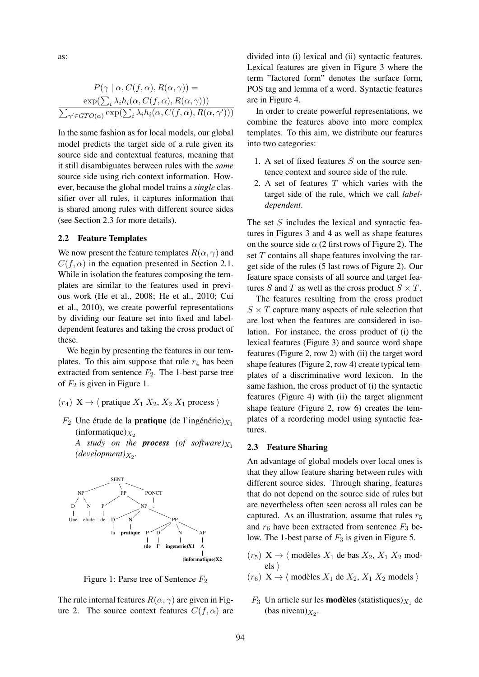as:

$$
P(\gamma \mid \alpha, C(f, \alpha), R(\alpha, \gamma)) =
$$

$$
\frac{\exp(\sum_{i} \lambda_{i} h_{i}(\alpha, C(f, \alpha), R(\alpha, \gamma)))}{\sum_{\gamma' \in GTO(\alpha)} \exp(\sum_{i} \lambda_{i} h_{i}(\alpha, C(f, \alpha), R(\alpha, \gamma')))}
$$

In the same fashion as for local models, our global model predicts the target side of a rule given its source side and contextual features, meaning that it still disambiguates between rules with the *same* source side using rich context information. However, because the global model trains a *single* classifier over all rules, it captures information that is shared among rules with different source sides (see Section 2.3 for more details).

#### 2.2 Feature Templates

We now present the feature templates  $R(\alpha, \gamma)$  and  $C(f, \alpha)$  in the equation presented in Section 2.1. While in isolation the features composing the templates are similar to the features used in previous work (He et al., 2008; He et al., 2010; Cui et al., 2010), we create powerful representations by dividing our feature set into fixed and labeldependent features and taking the cross product of these.

We begin by presenting the features in our templates. To this aim suppose that rule  $r_4$  has been extracted from sentence  $F_2$ . The 1-best parse tree of  $F_2$  is given in Figure 1.

- $(r_4)$  X  $\rightarrow$   $\langle$  pratique  $X_1 X_2, X_2 X_1$  process  $\rangle$
- $F_2$  Une étude de la **pratique** (de l'ingénérie)  $X_1$ (informatique) $X_2$

*A study on the process (of software)* $X_1$  $(development)_{X_2}.$ 



Figure 1: Parse tree of Sentence  $F_2$ 

The rule internal features  $R(\alpha, \gamma)$  are given in Figure 2. The source context features  $C(f, \alpha)$  are divided into (i) lexical and (ii) syntactic features. Lexical features are given in Figure 3 where the term "factored form" denotes the surface form, POS tag and lemma of a word. Syntactic features are in Figure 4.

In order to create powerful representations, we combine the features above into more complex templates. To this aim, we distribute our features into two categories:

- 1. A set of fixed features S on the source sentence context and source side of the rule.
- 2. A set of features T which varies with the target side of the rule, which we call *labeldependent*.

The set S includes the lexical and syntactic features in Figures 3 and 4 as well as shape features on the source side  $\alpha$  (2 first rows of Figure 2). The set  $T$  contains all shape features involving the target side of the rules (5 last rows of Figure 2). Our feature space consists of all source and target features S and T as well as the cross product  $S \times T$ .

The features resulting from the cross product  $S \times T$  capture many aspects of rule selection that are lost when the features are considered in isolation. For instance, the cross product of (i) the lexical features (Figure 3) and source word shape features (Figure 2, row 2) with (ii) the target word shape features (Figure 2, row 4) create typical templates of a discriminative word lexicon. In the same fashion, the cross product of (i) the syntactic features (Figure 4) with (ii) the target alignment shape feature (Figure 2, row 6) creates the templates of a reordering model using syntactic features.

#### 2.3 Feature Sharing

An advantage of global models over local ones is that they allow feature sharing between rules with different source sides. Through sharing, features that do not depend on the source side of rules but are nevertheless often seen across all rules can be captured. As an illustration, assume that rules  $r_5$ and  $r_6$  have been extracted from sentence  $F_3$  below. The 1-best parse of  $F_3$  is given in Figure 5.

- $(r_5)$   $X \rightarrow \langle$  modèles  $X_1$  de bas  $X_2$ ,  $X_1$   $X_2$  models  $\rangle$
- $(r_6)$   $X \rightarrow \langle$  modèles  $X_1$  de  $X_2, X_1 X_2$  models  $\rangle$
- $F_3$  Un article sur les **modèles** (statistiques) $_{X_1}$  de (bas niveau) $_{X_2}$ .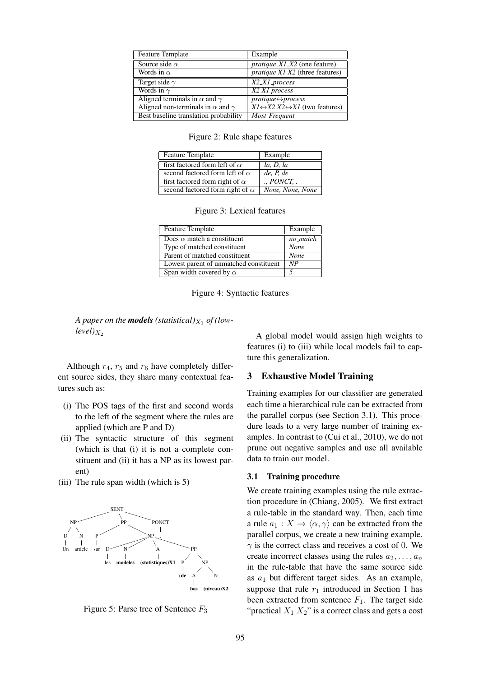| <b>Feature Template</b>                        | Example                                                      |
|------------------------------------------------|--------------------------------------------------------------|
| Source side $\alpha$                           | $pratique XI X2$ (one feature)                               |
| Words in $\alpha$                              | <i>pratique X1 X2</i> (three features)                       |
| Target side $\gamma$                           | X2_X1_process                                                |
| Words in $\gamma$                              | X2 X1 process                                                |
| Aligned terminals in $\alpha$ and $\gamma$     | $pratique \leftrightarrow process$                           |
| Aligned non-terminals in $\alpha$ and $\gamma$ | $XI \leftrightarrow X2 X2 \leftrightarrow XI$ (two features) |
| Best baseline translation probability          | Most_Frequent                                                |

Figure 2: Rule shape features

| <b>Feature Template</b>                | Example          |
|----------------------------------------|------------------|
| first factored form left of $\alpha$   | la, D, la        |
| second factored form left of $\alpha$  | de, P, de        |
| first factored form right of $\alpha$  | . PONCT.         |
| second factored form right of $\alpha$ | None, None, None |

Figure 3: Lexical features

| <b>Feature Template</b>                | Example     |
|----------------------------------------|-------------|
| Does $\alpha$ match a constituent      | no_match    |
| Type of matched constituent            | <b>None</b> |
| Parent of matched constituent          | <b>None</b> |
| Lowest parent of unmatched constituent | NP          |
| Span width covered by $\alpha$         | 5           |

Figure 4: Syntactic features

A paper on the **models** (statistical) $_{X_1}$  of (low $level)_{X_2}$ 

Although  $r_4$ ,  $r_5$  and  $r_6$  have completely different source sides, they share many contextual features such as:

- (i) The POS tags of the first and second words to the left of the segment where the rules are applied (which are P and D)
- (ii) The syntactic structure of this segment (which is that (i) it is not a complete constituent and (ii) it has a NP as its lowest parent)
- (iii) The rule span width (which is 5)



Figure 5: Parse tree of Sentence  $F_3$ 

A global model would assign high weights to features (i) to (iii) while local models fail to capture this generalization.

#### 3 Exhaustive Model Training

Training examples for our classifier are generated each time a hierarchical rule can be extracted from the parallel corpus (see Section 3.1). This procedure leads to a very large number of training examples. In contrast to (Cui et al., 2010), we do not prune out negative samples and use all available data to train our model.

#### 3.1 Training procedure

We create training examples using the rule extraction procedure in (Chiang, 2005). We first extract a rule-table in the standard way. Then, each time a rule  $a_1 : X \to \langle \alpha, \gamma \rangle$  can be extracted from the parallel corpus, we create a new training example.  $\gamma$  is the correct class and receives a cost of 0. We create incorrect classes using the rules  $a_2, \ldots, a_n$ in the rule-table that have the same source side as  $a_1$  but different target sides. As an example, suppose that rule  $r_1$  introduced in Section 1 has been extracted from sentence  $F_1$ . The target side "practical  $X_1 X_2$ " is a correct class and gets a cost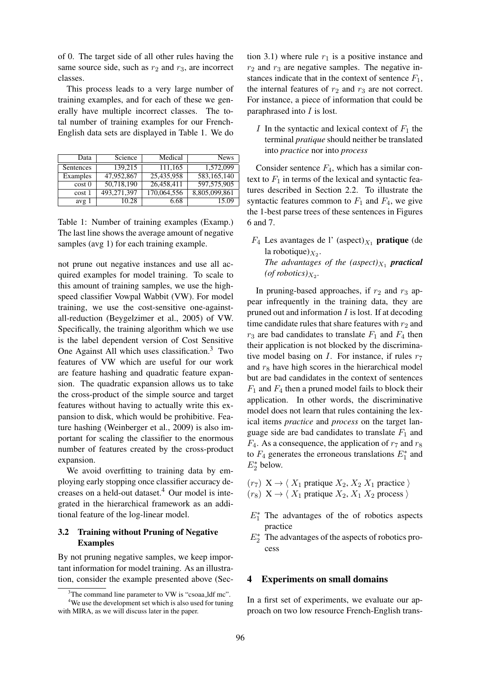of 0. The target side of all other rules having the same source side, such as  $r_2$  and  $r_3$ , are incorrect classes.

This process leads to a very large number of training examples, and for each of these we generally have multiple incorrect classes. The total number of training examples for our French-English data sets are displayed in Table 1. We do

| Data       | Science     | Medical     | <b>News</b>   |
|------------|-------------|-------------|---------------|
| Sentences  | 139.215     | 111.165     | 1.572.099     |
| Examples   | 47,952,867  | 25,435,958  | 583,165,140   |
| $\cos t$ 0 | 50,718,190  | 26,458,411  | 597,575,905   |
| $\cos t 1$ | 493.271.397 | 170,064,556 | 8,805,099,861 |
| avg 1      | 10.28       | 6.68        | 15.09         |

Table 1: Number of training examples (Examp.) The last line shows the average amount of negative samples (avg 1) for each training example.

not prune out negative instances and use all acquired examples for model training. To scale to this amount of training samples, we use the highspeed classifier Vowpal Wabbit (VW). For model training, we use the cost-sensitive one-againstall-reduction (Beygelzimer et al., 2005) of VW. Specifically, the training algorithm which we use is the label dependent version of Cost Sensitive One Against All which uses classification.<sup>3</sup> Two features of VW which are useful for our work are feature hashing and quadratic feature expansion. The quadratic expansion allows us to take the cross-product of the simple source and target features without having to actually write this expansion to disk, which would be prohibitive. Feature hashing (Weinberger et al., 2009) is also important for scaling the classifier to the enormous number of features created by the cross-product expansion.

We avoid overfitting to training data by employing early stopping once classifier accuracy decreases on a held-out dataset.<sup>4</sup> Our model is integrated in the hierarchical framework as an additional feature of the log-linear model.

# 3.2 Training without Pruning of Negative Examples

By not pruning negative samples, we keep important information for model training. As an illustration, consider the example presented above (Section 3.1) where rule  $r_1$  is a positive instance and  $r_2$  and  $r_3$  are negative samples. The negative instances indicate that in the context of sentence  $F_1$ , the internal features of  $r_2$  and  $r_3$  are not correct. For instance, a piece of information that could be paraphrased into  $I$  is lost.

I In the syntactic and lexical context of  $F_1$  the terminal *pratique* should neither be translated into *practice* nor into *process*

Consider sentence  $F_4$ , which has a similar context to  $F_1$  in terms of the lexical and syntactic features described in Section 2.2. To illustrate the syntactic features common to  $F_1$  and  $F_4$ , we give the 1-best parse trees of these sentences in Figures 6 and 7.

 $F_4$  Les avantages de l' (aspect) $_{X_1}$  pratique (de la robotique) $X_2$ . *The advantages of the*  $(aspect)_{X_1}$  *practical* (*of robotics*) $_{X_2}$ .

In pruning-based approaches, if  $r_2$  and  $r_3$  appear infrequently in the training data, they are pruned out and information  $I$  is lost. If at decoding time candidate rules that share features with  $r_2$  and  $r_3$  are bad candidates to translate  $F_1$  and  $F_4$  then their application is not blocked by the discriminative model basing on  $I$ . For instance, if rules  $r<sub>7</sub>$ and  $r_8$  have high scores in the hierarchical model but are bad candidates in the context of sentences  $F_1$  and  $F_4$  then a pruned model fails to block their application. In other words, the discriminative model does not learn that rules containing the lexical items *practice* and *process* on the target language side are bad candidates to translate  $F_1$  and  $F_4$ . As a consequence, the application of  $r_7$  and  $r_8$ to  $F_4$  generates the erroneous translations  $E_1^*$  and  $E_2^*$  below.

- $(r_7)$   $X \rightarrow \langle X_1 \text{ }$  pratique  $X_2, X_2 \text{ } X_1 \text{ }$  practice  $\rangle$
- $(r_8)$   $X \rightarrow \langle X_1 \rangle$  pratique  $X_2, X_1 \rangle X_2$  process  $\rangle$
- $E_1^*$  The advantages of the of robotics aspects practice
- $E_2^*$  The advantages of the aspects of robotics process

#### 4 Experiments on small domains

In a first set of experiments, we evaluate our approach on two low resource French-English trans-

 $3$ The command line parameter to VW is "csoaa\_ldf mc".

<sup>&</sup>lt;sup>4</sup>We use the development set which is also used for tuning with MIRA, as we will discuss later in the paper.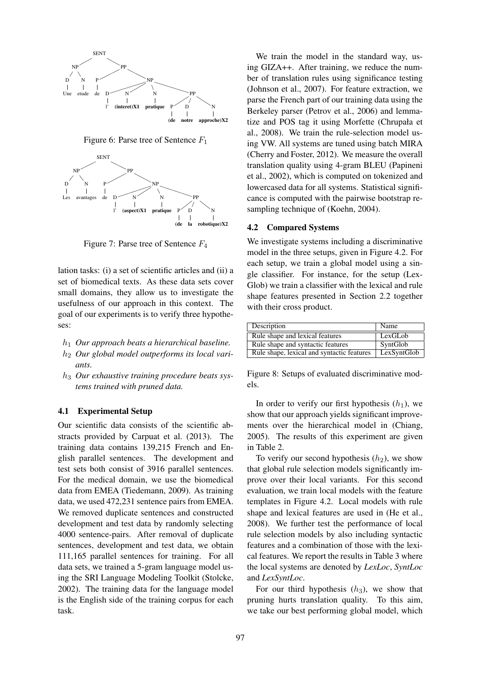

Figure 6: Parse tree of Sentence  $F_1$ 



Figure 7: Parse tree of Sentence  $F_4$ 

lation tasks: (i) a set of scientific articles and (ii) a set of biomedical texts. As these data sets cover small domains, they allow us to investigate the usefulness of our approach in this context. The goal of our experiments is to verify three hypotheses:

- h<sup>1</sup> *Our approach beats a hierarchical baseline.*
- h<sup>2</sup> *Our global model outperforms its local variants.*
- h<sup>3</sup> *Our exhaustive training procedure beats systems trained with pruned data.*

#### 4.1 Experimental Setup

Our scientific data consists of the scientific abstracts provided by Carpuat et al. (2013). The training data contains 139,215 French and English parallel sentences. The development and test sets both consist of 3916 parallel sentences. For the medical domain, we use the biomedical data from EMEA (Tiedemann, 2009). As training data, we used 472,231 sentence pairs from EMEA. We removed duplicate sentences and constructed development and test data by randomly selecting 4000 sentence-pairs. After removal of duplicate sentences, development and test data, we obtain 111,165 parallel sentences for training. For all data sets, we trained a 5-gram language model using the SRI Language Modeling Toolkit (Stolcke, 2002). The training data for the language model is the English side of the training corpus for each task.

We train the model in the standard way, using GIZA++. After training, we reduce the number of translation rules using significance testing (Johnson et al., 2007). For feature extraction, we parse the French part of our training data using the Berkeley parser (Petrov et al., 2006) and lemmatize and POS tag it using Morfette (Chrupała et al., 2008). We train the rule-selection model using VW. All systems are tuned using batch MIRA (Cherry and Foster, 2012). We measure the overall translation quality using 4-gram BLEU (Papineni et al., 2002), which is computed on tokenized and lowercased data for all systems. Statistical significance is computed with the pairwise bootstrap resampling technique of (Koehn, 2004).

#### 4.2 Compared Systems

We investigate systems including a discriminative model in the three setups, given in Figure 4.2. For each setup, we train a global model using a single classifier. For instance, for the setup (Lex-Glob) we train a classifier with the lexical and rule shape features presented in Section 2.2 together with their cross product.

| Description                                | Name        |
|--------------------------------------------|-------------|
| Rule shape and lexical features            | LexGLob     |
| Rule shape and syntactic features          | SyntGlob    |
| Rule shape, lexical and syntactic features | LexSyntGlob |

Figure 8: Setups of evaluated discriminative models.

In order to verify our first hypothesis  $(h_1)$ , we show that our approach yields significant improvements over the hierarchical model in (Chiang, 2005). The results of this experiment are given in Table 2.

To verify our second hypothesis  $(h_2)$ , we show that global rule selection models significantly improve over their local variants. For this second evaluation, we train local models with the feature templates in Figure 4.2. Local models with rule shape and lexical features are used in (He et al., 2008). We further test the performance of local rule selection models by also including syntactic features and a combination of those with the lexical features. We report the results in Table 3 where the local systems are denoted by *LexLoc*, *SyntLoc* and *LexSyntLoc*.

For our third hypothesis  $(h_3)$ , we show that pruning hurts translation quality. To this aim, we take our best performing global model, which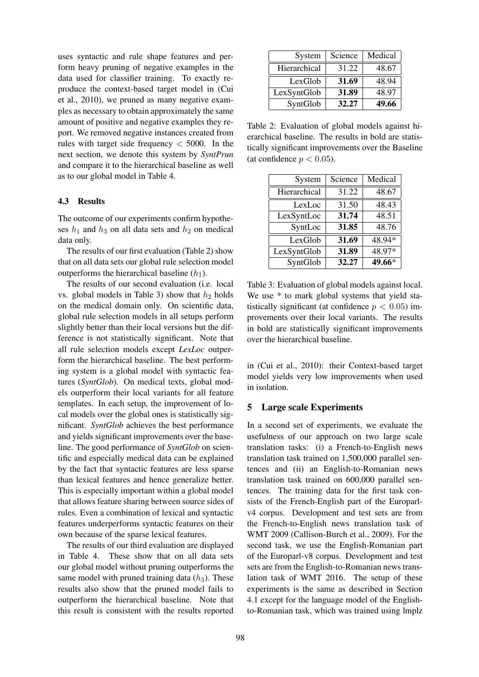uses syntactic and rule shape features and perform heavy pruning of negative examples in the data used for classifier training. To exactly reproduce the context-based target model in (Cui et al., 2010), we pruned as many negative examples as necessary to obtain approximately the same amount of positive and negative examples they report. We removed negative instances created from rules with target side frequency  $<$  5000. In the next section, we denote this system by *SyntPrun* and compare it to the hierarchical baseline as well as to our global model in Table 4.

#### 4.3 Results

The outcome of our experiments confirm hypotheses  $h_1$  and  $h_3$  on all data sets and  $h_2$  on medical data only.

The results of our first evaluation (Table 2) show that on all data sets our global rule selection model outperforms the hierarchical baseline  $(h_1)$ .

The results of our second evaluation (i.e. local vs. global models in Table 3) show that  $h_2$  holds on the medical domain only. On scientific data, global rule selection models in all setups perform slightly better than their local versions but the difference is not statistically significant. Note that all rule selection models except *LexLoc* outperform the hierarchical baseline. The best performing system is a global model with syntactic features (*SyntGlob*). On medical texts, global models outperform their local variants for all feature templates. In each setup, the improvement of local models over the global ones is statistically significant. *SyntGlob* achieves the best performance and yields significant improvements over the baseline. The good performance of *SyntGlob* on scientific and especially medical data can be explained by the fact that syntactic features are less sparse than lexical features and hence generalize better. This is especially important within a global model that allows feature sharing between source sides of rules. Even a combination of lexical and syntactic features underperforms syntactic features on their own because of the sparse lexical features.

The results of our third evaluation are displayed in Table 4. These show that on all data sets our global model without pruning outperforms the same model with pruned training data  $(h<sub>3</sub>)$ . These results also show that the pruned model fails to outperform the hierarchical baseline. Note that this result is consistent with the results reported

| System       | Science | Medical |
|--------------|---------|---------|
| Hierarchical | 31.22   | 48.67   |
| LexGlob      | 31.69   | 48.94   |
| LexSyntGlob  | 31.89   | 48.97   |
| SyntGlob     | 32.27   | 49.66   |

Table 2: Evaluation of global models against hierarchical baseline. The results in bold are statistically significant improvements over the Baseline (at confidence  $p < 0.05$ ).

| System       | Science | Medical |
|--------------|---------|---------|
| Hierarchical | 31.22   | 48.67   |
| LexLoc       | 31.50   | 48.43   |
| LexSyntLoc   | 31.74   | 48.51   |
| SyntLoc      | 31.85   | 48.76   |
| LexGlob      | 31.69   | 48.94*  |
| LexSyntGlob  | 31.89   | 48.97*  |
| SyntGlob     | 32.27   | 49.66*  |

Table 3: Evaluation of global models against local. We use  $*$  to mark global systems that yield statistically significant (at confidence  $p < 0.05$ ) improvements over their local variants. The results in bold are statistically significant improvements over the hierarchical baseline.

in (Cui et al., 2010): their Context-based target model yields very low improvements when used in isolation.

#### 5 Large scale Experiments

In a second set of experiments, we evaluate the usefulness of our approach on two large scale translation tasks: (i) a French-to-English news translation task trained on 1,500,000 parallel sentences and (ii) an English-to-Romanian news translation task trained on 600,000 parallel sentences. The training data for the first task consists of the French-English part of the Europarlv4 corpus. Development and test sets are from the French-to-English news translation task of WMT 2009 (Callison-Burch et al., 2009). For the second task, we use the English-Romanian part of the Europarl-v8 corpus. Development and test sets are from the English-to-Romanian news translation task of WMT 2016. The setup of these experiments is the same as described in Section 4.1 except for the language model of the Englishto-Romanian task, which was trained using lmplz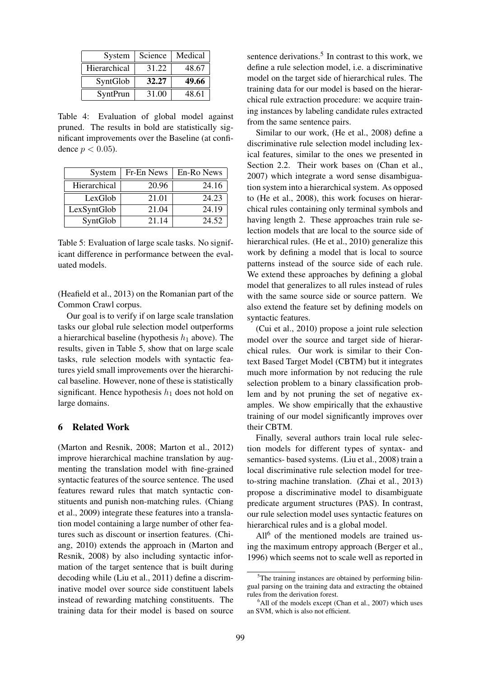| System       | Science | Medical |
|--------------|---------|---------|
| Hierarchical | 31.22   | 48.67   |
| SyntGlob     | 32.27   | 49.66   |
|              |         |         |

Table 4: Evaluation of global model against pruned. The results in bold are statistically significant improvements over the Baseline (at confidence  $p < 0.05$ ).

| System       | Fr-En News | En-Ro News |
|--------------|------------|------------|
| Hierarchical | 20.96      | 24.16      |
| LexGlob      | 21.01      | 24.23      |
| LexSyntGlob  | 21.04      | 24.19      |
| SyntGlob     | 21.14      | 24.52      |

Table 5: Evaluation of large scale tasks. No significant difference in performance between the evaluated models.

(Heafield et al., 2013) on the Romanian part of the Common Crawl corpus.

Our goal is to verify if on large scale translation tasks our global rule selection model outperforms a hierarchical baseline (hypothesis  $h_1$  above). The results, given in Table 5, show that on large scale tasks, rule selection models with syntactic features yield small improvements over the hierarchical baseline. However, none of these is statistically significant. Hence hypothesis  $h_1$  does not hold on large domains.

## 6 Related Work

(Marton and Resnik, 2008; Marton et al., 2012) improve hierarchical machine translation by augmenting the translation model with fine-grained syntactic features of the source sentence. The used features reward rules that match syntactic constituents and punish non-matching rules. (Chiang et al., 2009) integrate these features into a translation model containing a large number of other features such as discount or insertion features. (Chiang, 2010) extends the approach in (Marton and Resnik, 2008) by also including syntactic information of the target sentence that is built during decoding while (Liu et al., 2011) define a discriminative model over source side constituent labels instead of rewarding matching constituents. The training data for their model is based on source

sentence derivations. $5$  In contrast to this work, we define a rule selection model, i.e. a discriminative model on the target side of hierarchical rules. The training data for our model is based on the hierarchical rule extraction procedure: we acquire training instances by labeling candidate rules extracted from the same sentence pairs.

Similar to our work, (He et al., 2008) define a discriminative rule selection model including lexical features, similar to the ones we presented in Section 2.2. Their work bases on (Chan et al., 2007) which integrate a word sense disambiguation system into a hierarchical system. As opposed to (He et al., 2008), this work focuses on hierarchical rules containing only terminal symbols and having length 2. These approaches train rule selection models that are local to the source side of hierarchical rules. (He et al., 2010) generalize this work by defining a model that is local to source patterns instead of the source side of each rule. We extend these approaches by defining a global model that generalizes to all rules instead of rules with the same source side or source pattern. We also extend the feature set by defining models on syntactic features.

(Cui et al., 2010) propose a joint rule selection model over the source and target side of hierarchical rules. Our work is similar to their Context Based Target Model (CBTM) but it integrates much more information by not reducing the rule selection problem to a binary classification problem and by not pruning the set of negative examples. We show empirically that the exhaustive training of our model significantly improves over their CBTM.

Finally, several authors train local rule selection models for different types of syntax- and semantics- based systems. (Liu et al., 2008) train a local discriminative rule selection model for treeto-string machine translation. (Zhai et al., 2013) propose a discriminative model to disambiguate predicate argument structures (PAS). In contrast, our rule selection model uses syntactic features on hierarchical rules and is a global model.

All<sup>6</sup> of the mentioned models are trained using the maximum entropy approach (Berger et al., 1996) which seems not to scale well as reported in

 $5$ The training instances are obtained by performing bilingual parsing on the training data and extracting the obtained rules from the derivation forest.

 $<sup>6</sup>$ All of the models except (Chan et al., 2007) which uses</sup> an SVM, which is also not efficient.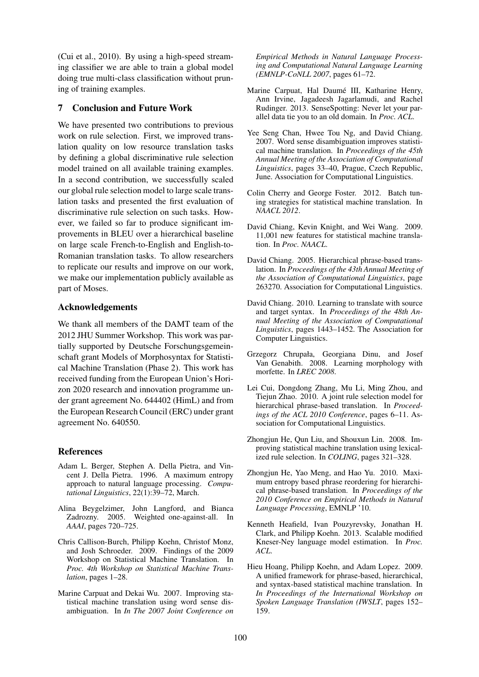(Cui et al., 2010). By using a high-speed streaming classifier we are able to train a global model doing true multi-class classification without pruning of training examples.

# 7 Conclusion and Future Work

We have presented two contributions to previous work on rule selection. First, we improved translation quality on low resource translation tasks by defining a global discriminative rule selection model trained on all available training examples. In a second contribution, we successfully scaled our global rule selection model to large scale translation tasks and presented the first evaluation of discriminative rule selection on such tasks. However, we failed so far to produce significant improvements in BLEU over a hierarchical baseline on large scale French-to-English and English-to-Romanian translation tasks. To allow researchers to replicate our results and improve on our work, we make our implementation publicly available as part of Moses.

#### Acknowledgements

We thank all members of the DAMT team of the 2012 JHU Summer Workshop. This work was partially supported by Deutsche Forschungsgemeinschaft grant Models of Morphosyntax for Statistical Machine Translation (Phase 2). This work has received funding from the European Union's Horizon 2020 research and innovation programme under grant agreement No. 644402 (HimL) and from the European Research Council (ERC) under grant agreement No. 640550.

# References

- Adam L. Berger, Stephen A. Della Pietra, and Vincent J. Della Pietra. 1996. A maximum entropy approach to natural language processing. *Computational Linguistics*, 22(1):39–72, March.
- Alina Beygelzimer, John Langford, and Bianca Zadrozny. 2005. Weighted one-against-all. In *AAAI*, pages 720–725.
- Chris Callison-Burch, Philipp Koehn, Christof Monz, and Josh Schroeder. 2009. Findings of the 2009 Workshop on Statistical Machine Translation. In *Proc. 4th Workshop on Statistical Machine Translation*, pages 1–28.
- Marine Carpuat and Dekai Wu. 2007. Improving statistical machine translation using word sense disambiguation. In *In The 2007 Joint Conference on*

*Empirical Methods in Natural Language Processing and Computational Natural Language Learning (EMNLP-CoNLL 2007*, pages 61–72.

- Marine Carpuat, Hal Daumé III, Katharine Henry, Ann Irvine, Jagadeesh Jagarlamudi, and Rachel Rudinger. 2013. SenseSpotting: Never let your parallel data tie you to an old domain. In *Proc. ACL*.
- Yee Seng Chan, Hwee Tou Ng, and David Chiang. 2007. Word sense disambiguation improves statistical machine translation. In *Proceedings of the 45th Annual Meeting of the Association of Computational Linguistics*, pages 33–40, Prague, Czech Republic, June. Association for Computational Linguistics.
- Colin Cherry and George Foster. 2012. Batch tuning strategies for statistical machine translation. In *NAACL 2012*.
- David Chiang, Kevin Knight, and Wei Wang. 2009. 11,001 new features for statistical machine translation. In *Proc. NAACL*.
- David Chiang. 2005. Hierarchical phrase-based translation. In *Proceedings of the 43th Annual Meeting of the Association of Computational Linguistics*, page 263270. Association for Computational Linguistics.
- David Chiang. 2010. Learning to translate with source and target syntax. In *Proceedings of the 48th Annual Meeting of the Association of Computational Linguistics*, pages 1443–1452. The Association for Computer Linguistics.
- Grzegorz Chrupała, Georgiana Dinu, and Josef Van Genabith. 2008. Learning morphology with morfette. In *LREC 2008*.
- Lei Cui, Dongdong Zhang, Mu Li, Ming Zhou, and Tiejun Zhao. 2010. A joint rule selection model for hierarchical phrase-based translation. In *Proceedings of the ACL 2010 Conference*, pages 6–11. Association for Computational Linguistics.
- Zhongjun He, Qun Liu, and Shouxun Lin. 2008. Improving statistical machine translation using lexicalized rule selection. In *COLING*, pages 321–328.
- Zhongjun He, Yao Meng, and Hao Yu. 2010. Maximum entropy based phrase reordering for hierarchical phrase-based translation. In *Proceedings of the 2010 Conference on Empirical Methods in Natural Language Processing*, EMNLP '10.
- Kenneth Heafield, Ivan Pouzyrevsky, Jonathan H. Clark, and Philipp Koehn. 2013. Scalable modified Kneser-Ney language model estimation. In *Proc. ACL*.
- Hieu Hoang, Philipp Koehn, and Adam Lopez. 2009. A unified framework for phrase-based, hierarchical, and syntax-based statistical machine translation. In *In Proceedings of the International Workshop on Spoken Language Translation (IWSLT*, pages 152– 159.